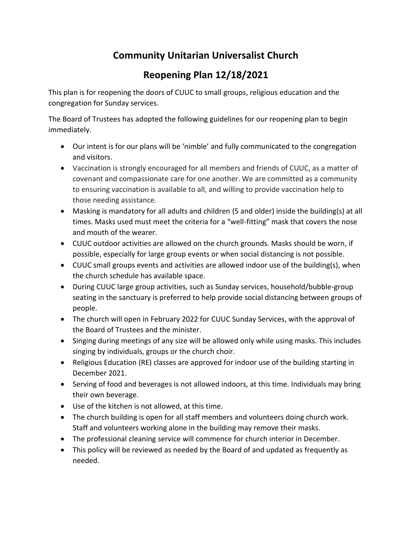## **Community Unitarian Universalist Church**

## **Reopening Plan 12/18/2021**

This plan is for reopening the doors of CUUC to small groups, religious education and the congregation for Sunday services.

The Board of Trustees has adopted the following guidelines for our reopening plan to begin immediately.

- Our intent is for our plans will be 'nimble' and fully communicated to the congregation and visitors.
- Vaccination is strongly encouraged for all members and friends of CUUC, as a matter of covenant and compassionate care for one another. We are committed as a community to ensuring vaccination is available to all, and willing to provide vaccination help to those needing assistance.
- Masking is mandatory for all adults and children (5 and older) inside the building(s) at all times. Masks used must meet the criteria for a "well-fitting" mask that covers the nose and mouth of the wearer.
- CUUC outdoor activities are allowed on the church grounds. Masks should be worn, if possible, especially for large group events or when social distancing is not possible.
- CUUC small groups events and activities are allowed indoor use of the building(s), when the church schedule has available space.
- During CUUC large group activities, such as Sunday services, household/bubble-group seating in the sanctuary is preferred to help provide social distancing between groups of people.
- The church will open in February 2022 for CUUC Sunday Services, with the approval of the Board of Trustees and the minister.
- Singing during meetings of any size will be allowed only while using masks. This includes singing by individuals, groups or the church choir.
- Religious Education (RE) classes are approved for indoor use of the building starting in December 2021.
- Serving of food and beverages is not allowed indoors, at this time. Individuals may bring their own beverage.
- Use of the kitchen is not allowed, at this time.
- The church building is open for all staff members and volunteers doing church work. Staff and volunteers working alone in the building may remove their masks.
- The professional cleaning service will commence for church interior in December.
- This policy will be reviewed as needed by the Board of and updated as frequently as needed.